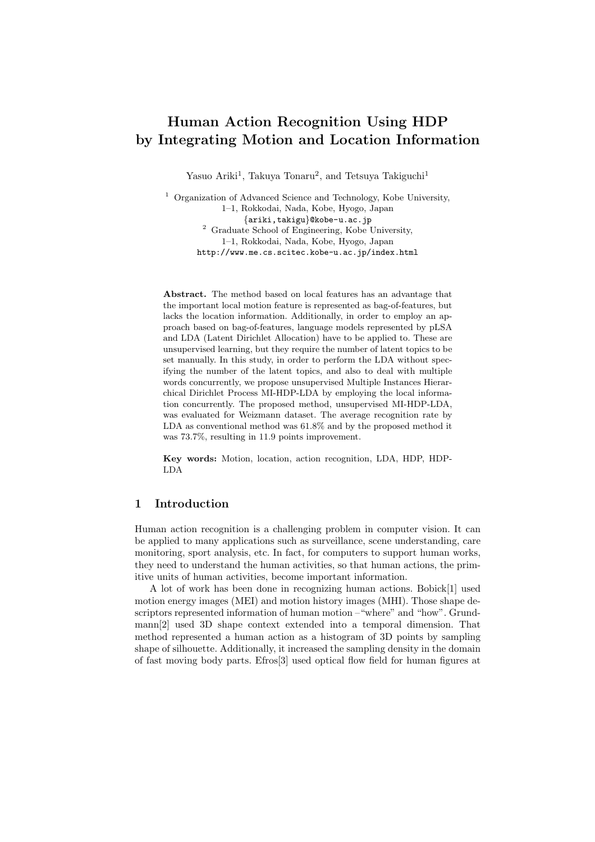# **Human Action Recognition Using HDP by Integrating Motion and Location Information**

Yasuo Ariki<sup>1</sup>, Takuya Tonaru<sup>2</sup>, and Tetsuya Takiguchi<sup>1</sup>

<sup>1</sup> Organization of Advanced Science and Technology, Kobe University, 1–1, Rokkodai, Nada, Kobe, Hyogo, Japan *{*ariki,takigu*}*@kobe-u.ac.jp <sup>2</sup> Graduate School of Engineering, Kobe University, 1–1, Rokkodai, Nada, Kobe, Hyogo, Japan http://www.me.cs.scitec.kobe-u.ac.jp/index.html

**Abstract.** The method based on local features has an advantage that the important local motion feature is represented as bag-of-features, but lacks the location information. Additionally, in order to employ an approach based on bag-of-features, language models represented by pLSA and LDA (Latent Dirichlet Allocation) have to be applied to. These are unsupervised learning, but they require the number of latent topics to be set manually. In this study, in order to perform the LDA without specifying the number of the latent topics, and also to deal with multiple words concurrently, we propose unsupervised Multiple Instances Hierarchical Dirichlet Process MI-HDP-LDA by employing the local information concurrently. The proposed method, unsupervised MI-HDP-LDA, was evaluated for Weizmann dataset. The average recognition rate by LDA as conventional method was 61.8% and by the proposed method it was 73.7%, resulting in 11.9 points improvement.

**Key words:** Motion, location, action recognition, LDA, HDP, HDP-LDA

# **1 Introduction**

Human action recognition is a challenging problem in computer vision. It can be applied to many applications such as surveillance, scene understanding, care monitoring, sport analysis, etc. In fact, for computers to support human works, they need to understand the human activities, so that human actions, the primitive units of human activities, become important information.

A lot of work has been done in recognizing human actions. Bobick[1] used motion energy images (MEI) and motion history images (MHI). Those shape descriptors represented information of human motion –"where" and "how". Grundmann[2] used 3D shape context extended into a temporal dimension. That method represented a human action as a histogram of 3D points by sampling shape of silhouette. Additionally, it increased the sampling density in the domain of fast moving body parts. Efros[3] used optical flow field for human figures at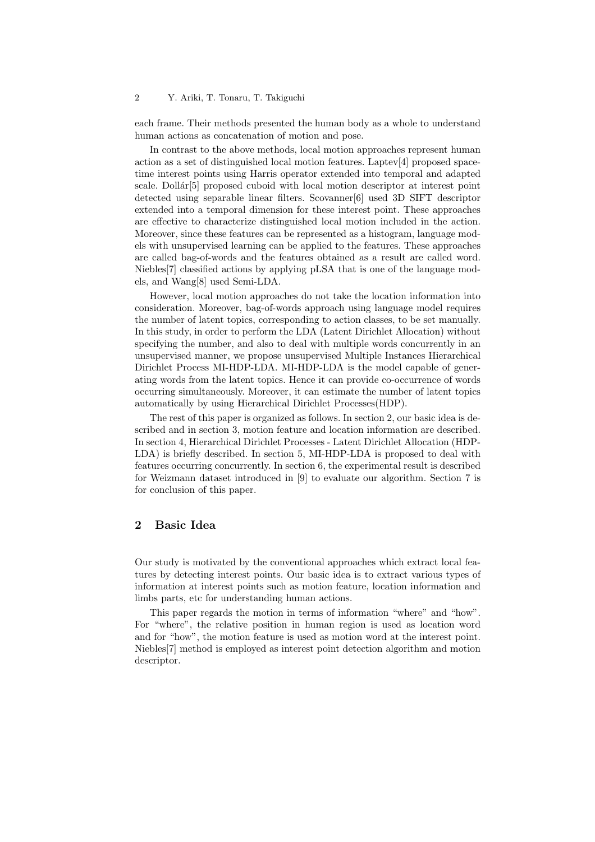each frame. Their methods presented the human body as a whole to understand human actions as concatenation of motion and pose.

In contrast to the above methods, local motion approaches represent human action as a set of distinguished local motion features. Laptev[4] proposed spacetime interest points using Harris operator extended into temporal and adapted scale. Dollár<sup>[5]</sup> proposed cuboid with local motion descriptor at interest point detected using separable linear filters. Scovanner[6] used 3D SIFT descriptor extended into a temporal dimension for these interest point. These approaches are effective to characterize distinguished local motion included in the action. Moreover, since these features can be represented as a histogram, language models with unsupervised learning can be applied to the features. These approaches are called bag-of-words and the features obtained as a result are called word. Niebles[7] classified actions by applying pLSA that is one of the language models, and Wang[8] used Semi-LDA.

However, local motion approaches do not take the location information into consideration. Moreover, bag-of-words approach using language model requires the number of latent topics, corresponding to action classes, to be set manually. In this study, in order to perform the LDA (Latent Dirichlet Allocation) without specifying the number, and also to deal with multiple words concurrently in an unsupervised manner, we propose unsupervised Multiple Instances Hierarchical Dirichlet Process MI-HDP-LDA. MI-HDP-LDA is the model capable of generating words from the latent topics. Hence it can provide co-occurrence of words occurring simultaneously. Moreover, it can estimate the number of latent topics automatically by using Hierarchical Dirichlet Processes(HDP).

The rest of this paper is organized as follows. In section 2, our basic idea is described and in section 3, motion feature and location information are described. In section 4, Hierarchical Dirichlet Processes - Latent Dirichlet Allocation (HDP-LDA) is briefly described. In section 5, MI-HDP-LDA is proposed to deal with features occurring concurrently. In section 6, the experimental result is described for Weizmann dataset introduced in [9] to evaluate our algorithm. Section 7 is for conclusion of this paper.

# **2 Basic Idea**

Our study is motivated by the conventional approaches which extract local features by detecting interest points. Our basic idea is to extract various types of information at interest points such as motion feature, location information and limbs parts, etc for understanding human actions.

This paper regards the motion in terms of information "where" and "how". For "where", the relative position in human region is used as location word and for "how", the motion feature is used as motion word at the interest point. Niebles[7] method is employed as interest point detection algorithm and motion descriptor.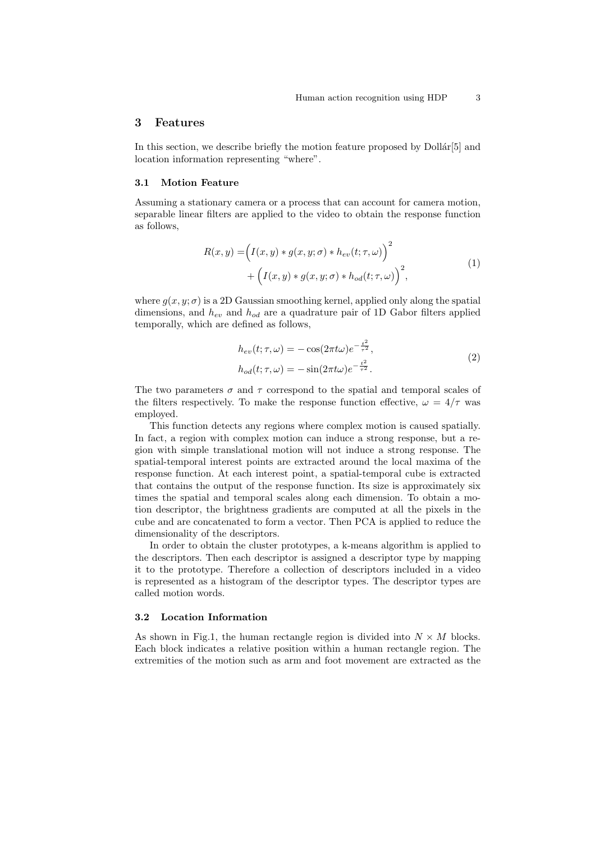### **3 Features**

In this section, we describe briefly the motion feature proposed by  $\text{Dollar}[5]$  and location information representing "where".

### **3.1 Motion Feature**

Assuming a stationary camera or a process that can account for camera motion, separable linear filters are applied to the video to obtain the response function as follows,

$$
R(x,y) = \left(I(x,y) * g(x,y;\sigma) * h_{ev}(t;\tau,\omega)\right)^2
$$
  
+ 
$$
\left(I(x,y) * g(x,y;\sigma) * h_{od}(t;\tau,\omega)\right)^2,
$$
 (1)

where  $g(x, y; \sigma)$  is a 2D Gaussian smoothing kernel, applied only along the spatial dimensions, and *hev* and *hod* are a quadrature pair of 1D Gabor filters applied temporally, which are defined as follows,

$$
h_{ev}(t;\tau,\omega) = -\cos(2\pi t\omega)e^{-\frac{t^2}{\tau^2}},
$$
  
\n
$$
h_{od}(t;\tau,\omega) = -\sin(2\pi t\omega)e^{-\frac{t^2}{\tau^2}}.
$$
\n(2)

The two parameters  $\sigma$  and  $\tau$  correspond to the spatial and temporal scales of the filters respectively. To make the response function effective,  $\omega = 4/\tau$  was employed.

This function detects any regions where complex motion is caused spatially. In fact, a region with complex motion can induce a strong response, but a region with simple translational motion will not induce a strong response. The spatial-temporal interest points are extracted around the local maxima of the response function. At each interest point, a spatial-temporal cube is extracted that contains the output of the response function. Its size is approximately six times the spatial and temporal scales along each dimension. To obtain a motion descriptor, the brightness gradients are computed at all the pixels in the cube and are concatenated to form a vector. Then PCA is applied to reduce the dimensionality of the descriptors.

In order to obtain the cluster prototypes, a k-means algorithm is applied to the descriptors. Then each descriptor is assigned a descriptor type by mapping it to the prototype. Therefore a collection of descriptors included in a video is represented as a histogram of the descriptor types. The descriptor types are called motion words.

### **3.2 Location Information**

As shown in Fig.1, the human rectangle region is divided into  $N \times M$  blocks. Each block indicates a relative position within a human rectangle region. The extremities of the motion such as arm and foot movement are extracted as the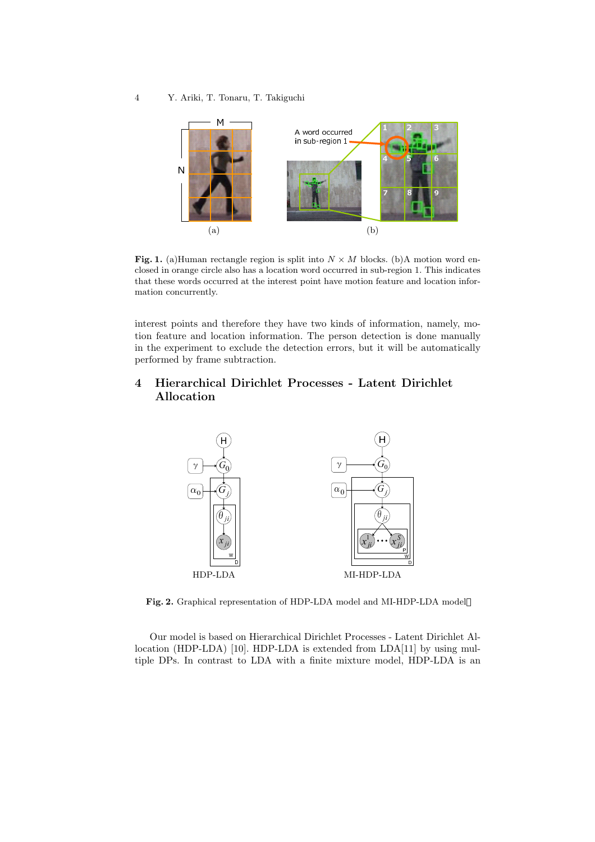

**Fig. 1.** (a)Human rectangle region is split into  $N \times M$  blocks. (b)A motion word enclosed in orange circle also has a location word occurred in sub-region 1. This indicates that these words occurred at the interest point have motion feature and location information concurrently.

interest points and therefore they have two kinds of information, namely, motion feature and location information. The person detection is done manually in the experiment to exclude the detection errors, but it will be automatically performed by frame subtraction.

# **4 Hierarchical Dirichlet Processes - Latent Dirichlet Allocation**



**Fig. 2.** Graphical representation of HDP-LDA model and MI-HDP-LDA model

Our model is based on Hierarchical Dirichlet Processes - Latent Dirichlet Allocation (HDP-LDA) [10]. HDP-LDA is extended from LDA[11] by using multiple DPs. In contrast to LDA with a finite mixture model, HDP-LDA is an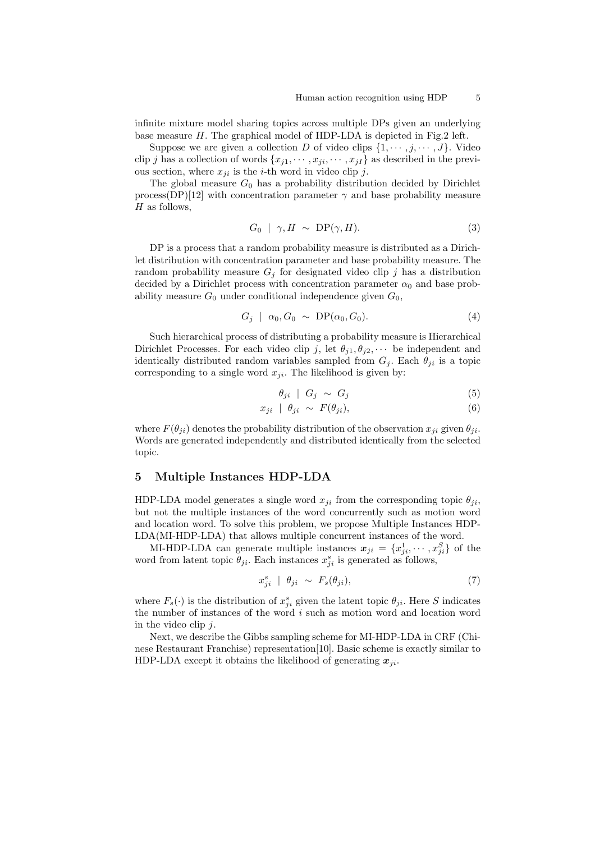infinite mixture model sharing topics across multiple DPs given an underlying base measure *H*. The graphical model of HDP-LDA is depicted in Fig.2 left.

Suppose we are given a collection *D* of video clips  $\{1, \dots, j, \dots, J\}$ . Video clip *j* has a collection of words  $\{x_{j1}, \dots, x_{ji}, \dots, x_{jI}\}$  as described in the previous section, where  $x_{ji}$  is the *i*-th word in video clip *j*.

The global measure  $G_0$  has a probability distribution decided by Dirichlet process(DP)[12] with concentration parameter  $\gamma$  and base probability measure *H* as follows,

$$
G_0 \mid \gamma, H \sim \text{DP}(\gamma, H). \tag{3}
$$

DP is a process that a random probability measure is distributed as a Dirichlet distribution with concentration parameter and base probability measure. The random probability measure  $G_i$  for designated video clip  $j$  has a distribution decided by a Dirichlet process with concentration parameter  $\alpha_0$  and base probability measure  $G_0$  under conditional independence given  $G_0$ ,

$$
G_j \mid \alpha_0, G_0 \sim \text{DP}(\alpha_0, G_0). \tag{4}
$$

Such hierarchical process of distributing a probability measure is Hierarchical Dirichlet Processes. For each video clip *j*, let  $\theta_{j1}, \theta_{j2}, \cdots$  be independent and identically distributed random variables sampled from  $G_i$ . Each  $\theta_{ji}$  is a topic corresponding to a single word  $x_{ji}$ . The likelihood is given by:

$$
\theta_{ji} \mid G_j \sim G_j \tag{5}
$$

$$
x_{ji} \mid \theta_{ji} \sim F(\theta_{ji}), \tag{6}
$$

where  $F(\theta_{ji})$  denotes the probability distribution of the observation  $x_{ji}$  given  $\theta_{ji}$ . Words are generated independently and distributed identically from the selected topic.

### **5 Multiple Instances HDP-LDA**

HDP-LDA model generates a single word  $x_{ji}$  from the corresponding topic  $\theta_{ji}$ , but not the multiple instances of the word concurrently such as motion word and location word. To solve this problem, we propose Multiple Instances HDP-LDA(MI-HDP-LDA) that allows multiple concurrent instances of the word.

MI-HDP-LDA can generate multiple instances  $x_{ji} = \{x_{ji}^1, \dots, x_{ji}^S\}$  of the word from latent topic  $\theta_{ji}$ . Each instances  $x_{ji}^s$  is generated as follows,

$$
x_{ji}^s \mid \theta_{ji} \sim F_s(\theta_{ji}), \tag{7}
$$

where  $F_s(\cdot)$  is the distribution of  $x_{ji}^s$  given the latent topic  $\theta_{ji}$ . Here *S* indicates the number of instances of the word *i* such as motion word and location word in the video clip *j*.

Next, we describe the Gibbs sampling scheme for MI-HDP-LDA in CRF (Chinese Restaurant Franchise) representation[10]. Basic scheme is exactly similar to HDP-LDA except it obtains the likelihood of generating  $x_{ji}$ .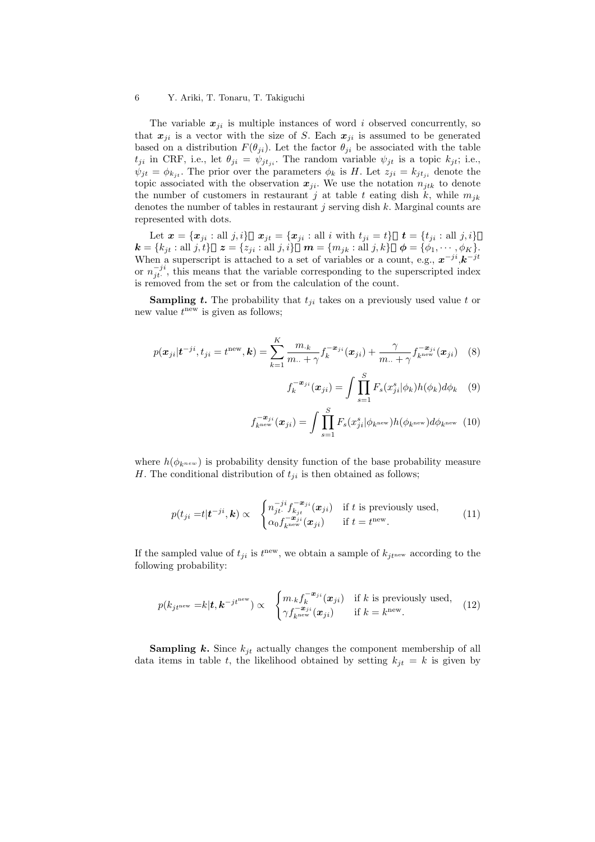The variable  $x_{ji}$  is multiple instances of word *i* observed concurrently, so that  $x_{ji}$  is a vector with the size of *S*. Each  $x_{ji}$  is assumed to be generated based on a distribution  $F(\theta_{ji})$ . Let the factor  $\theta_{ji}$  be associated with the table  $t_{ji}$  in CRF, i.e., let  $\theta_{ji} = \psi_{jtji}$ . The random variable  $\psi_{jt}$  is a topic  $k_{jt}$ ; i.e.,  $\psi_{jt} = \phi_{k_{jt}}$ . The prior over the parameters  $\phi_k$  is *H*. Let  $z_{ji} = k_{jt_{ji}}$  denote the topic associated with the observation  $x_{ji}$ . We use the notation  $n_{jtk}$  to denote the number of customers in restaurant *j* at table *t* eating dish  $k$ , while  $m_{ik}$ denotes the number of tables in restaurant *j* serving dish *k*. Marginal counts are represented with dots.

Let  $\mathbf{x} = {\mathbf{x}_{ji} : \text{all } j, i}$   $\mathbf{x}_{jt} = {\mathbf{x}_{ji} : \text{all } i \text{ with } t_{ji} = t}$   $\mathbf{t} = {t_{ji} : \text{all } j, i}$  $\mathbf{k} = \{k_{jt} : \text{all } j, t\}$   $\mathbf{z} = \{z_{ji} : \text{all } j, i\}$   $\mathbf{m} = \{m_{jk} : \text{all } j, k\}$   $\phi = \{\phi_1, \cdots, \phi_K\}.$ When a superscript is attached to a set of variables or a count, e.g.,  $x^{-ji}$ ,  $k^{-jt}$ or  $n_{jt}^{-ji}$ , this means that the variable corresponding to the superscripted index is removed from the set or from the calculation of the count.

**Sampling** *t***.** The probability that  $t_{ji}$  takes on a previously used value *t* or new value *t* new is given as follows;

$$
p(\boldsymbol{x}_{ji}|\boldsymbol{t}^{-ji}, t_{ji} = t^{\text{new}}, \boldsymbol{k}) = \sum_{k=1}^{K} \frac{m_{\cdot k}}{m_{\cdot \cdot} + \gamma} f_k^{-\boldsymbol{x}_{ji}}(\boldsymbol{x}_{ji}) + \frac{\gamma}{m_{\cdot \cdot} + \gamma} f_{k^{\text{new}}}^{-\boldsymbol{x}_{ji}}(\boldsymbol{x}_{ji}) \quad (8)
$$

$$
f_k^{-\boldsymbol{x}_{ji}}(\boldsymbol{x}_{ji}) = \int \prod_{s=1}^S F_s(x_{ji}^s | \phi_k) h(\phi_k) d\phi_k \quad (9)
$$

$$
f_{k^{\text{new}}}^{-\boldsymbol{x}_{ji}}(\boldsymbol{x}_{ji}) = \int \prod_{s=1}^{S} F_s(x_{ji}^s | \phi_{k^{\text{new}}}) h(\phi_{k^{\text{new}}}) d\phi_{k^{\text{new}}}
$$
(10)

where  $h(\phi_{k^{new}})$  is probability density function of the base probability measure *H*. The conditional distribution of  $t_{ji}$  is then obtained as follows;

$$
p(t_{ji} = t | \mathbf{t}^{-ji}, \mathbf{k}) \propto \begin{cases} n_{ji}^{-ji} f_{k_{jt}}^{-\mathbf{x}_{ji}}(\mathbf{x}_{ji}) & \text{if } t \text{ is previously used,} \\ \alpha_0 f_{k^{\text{new}}}^{-\mathbf{x}_{ji}}(\mathbf{x}_{ji}) & \text{if } t = t^{\text{new}}. \end{cases}
$$
(11)

If the sampled value of  $t_{ji}$  is  $t^{new}$ , we obtain a sample of  $k_{jt^{new}}$  according to the following probability:

$$
p(k_{j t^{\text{new}}} = k | \mathbf{t}, \mathbf{k}^{-j t^{\text{new}}}) \propto \begin{cases} m_{.k} f_k^{-\mathbf{x}_{ji}}(\mathbf{x}_{ji}) & \text{if } k \text{ is previously used,} \\ \gamma f_{k^{\text{new}}}^{-\mathbf{x}_{ji}}(\mathbf{x}_{ji}) & \text{if } k = k^{\text{new}}. \end{cases}
$$
(12)

**Sampling** *k***.** Since  $k_{jt}$  actually changes the component membership of all data items in table *t*, the likelihood obtained by setting  $k_{jt} = k$  is given by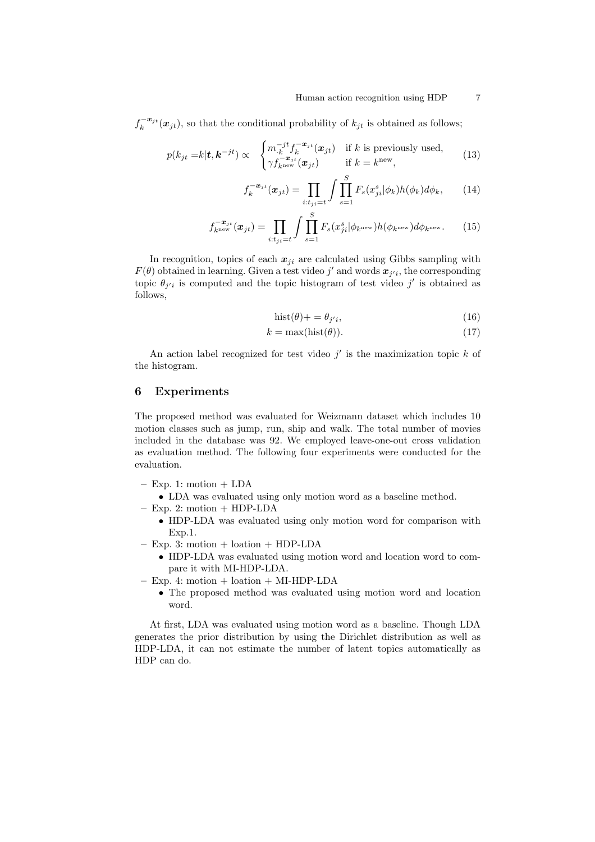$f_k^{-x_{jt}}(x_{jt})$ , so that the conditional probability of  $k_{jt}$  is obtained as follows;

$$
p(k_{jt} = k|\mathbf{t}, \mathbf{k}^{-jt}) \propto \begin{cases} m_{.k}^{-jt} f_k^{-\mathbf{x}_{jt}}(\mathbf{x}_{jt}) & \text{if } k \text{ is previously used,} \\ \gamma f_{k^{\text{new}}}^{-\mathbf{x}_{jt}}(\mathbf{x}_{jt}) & \text{if } k = k^{\text{new}}, \end{cases}
$$
(13)

$$
f_k^{-\boldsymbol{x}_{jt}}(\boldsymbol{x}_{jt}) = \prod_{i:t_{jt}=t} \int \prod_{s=1}^S F_s(x_{ji}^s | \phi_k) h(\phi_k) d\phi_k, \qquad (14)
$$

$$
f_{k^{\text{new}}}^{-\boldsymbol{x}_{jt}}(\boldsymbol{x}_{jt}) = \prod_{i:t_{ji}=t} \int \prod_{s=1}^{S} F_s(x_{ji}^s | \phi_{k^{\text{new}}}) h(\phi_{k^{\text{new}}}) d\phi_{k^{\text{new}}}.
$$
 (15)

In recognition, topics of each  $x_{ji}$  are calculated using Gibbs sampling with  $F(\theta)$  obtained in learning. Given a test video *j*' and words  $x_{j'i}$ , the corresponding topic  $\theta_{j'i}$  is computed and the topic histogram of test video  $j'$  is obtained as follows,

$$
hist(\theta) + = \theta_{j'i},\tag{16}
$$

$$
k = \max(\text{hist}(\theta)).\tag{17}
$$

An action label recognized for test video *j ′* is the maximization topic *k* of the histogram.

# **6 Experiments**

The proposed method was evaluated for Weizmann dataset which includes 10 motion classes such as jump, run, ship and walk. The total number of movies included in the database was 92. We employed leave-one-out cross validation as evaluation method. The following four experiments were conducted for the evaluation.

- **–** Exp. 1: motion + LDA
	- *•* LDA was evaluated using only motion word as a baseline method.
- **–** Exp. 2: motion + HDP-LDA
	- *•* HDP-LDA was evaluated using only motion word for comparison with Exp.1.
- **–** Exp. 3: motion + loation + HDP-LDA
	- *•* HDP-LDA was evaluated using motion word and location word to compare it with MI-HDP-LDA.
- **–** Exp. 4: motion + loation + MI-HDP-LDA
	- *•* The proposed method was evaluated using motion word and location word.

At first, LDA was evaluated using motion word as a baseline. Though LDA generates the prior distribution by using the Dirichlet distribution as well as HDP-LDA, it can not estimate the number of latent topics automatically as HDP can do.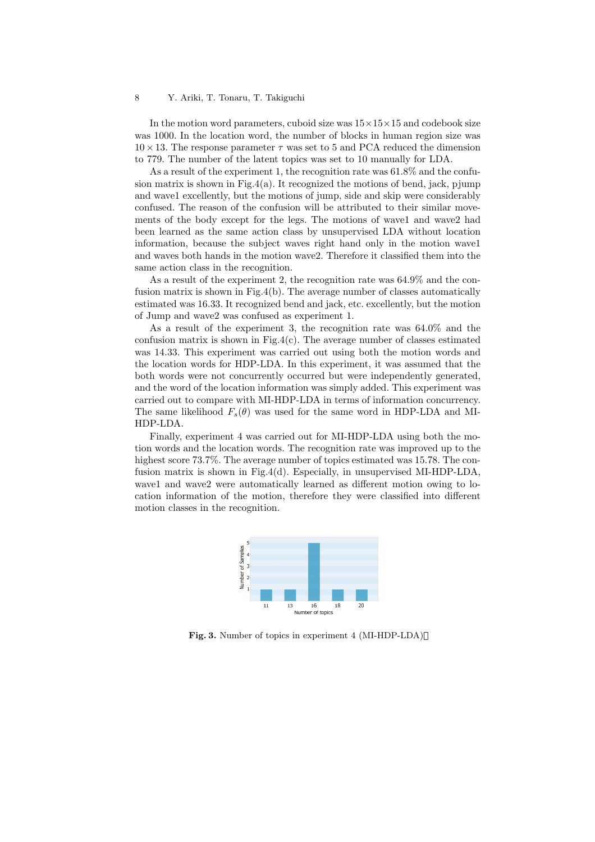In the motion word parameters, cuboid size was 15*×*15*×*15 and codebook size was 1000. In the location word, the number of blocks in human region size was  $10 \times 13$ . The response parameter  $\tau$  was set to 5 and PCA reduced the dimension to 779. The number of the latent topics was set to 10 manually for LDA.

As a result of the experiment 1, the recognition rate was 61.8% and the confusion matrix is shown in Fig.4(a). It recognized the motions of bend, jack, pjump and wave1 excellently, but the motions of jump, side and skip were considerably confused. The reason of the confusion will be attributed to their similar movements of the body except for the legs. The motions of wave1 and wave2 had been learned as the same action class by unsupervised LDA without location information, because the subject waves right hand only in the motion wave1 and waves both hands in the motion wave2. Therefore it classified them into the same action class in the recognition.

As a result of the experiment 2, the recognition rate was 64.9% and the confusion matrix is shown in Fig.4(b). The average number of classes automatically estimated was 16.33. It recognized bend and jack, etc. excellently, but the motion of Jump and wave2 was confused as experiment 1.

As a result of the experiment 3, the recognition rate was 64.0% and the confusion matrix is shown in Fig.4(c). The average number of classes estimated was 14.33. This experiment was carried out using both the motion words and the location words for HDP-LDA. In this experiment, it was assumed that the both words were not concurrently occurred but were independently generated, and the word of the location information was simply added. This experiment was carried out to compare with MI-HDP-LDA in terms of information concurrency. The same likelihood  $F_s(\theta)$  was used for the same word in HDP-LDA and MI-HDP-LDA.

Finally, experiment 4 was carried out for MI-HDP-LDA using both the motion words and the location words. The recognition rate was improved up to the highest score 73.7%. The average number of topics estimated was 15.78. The confusion matrix is shown in Fig.4(d). Especially, in unsupervised MI-HDP-LDA, wave1 and wave2 were automatically learned as different motion owing to location information of the motion, therefore they were classified into different motion classes in the recognition.



**Fig. 3.** Number of topics in experiment 4 (MI-HDP-LDA)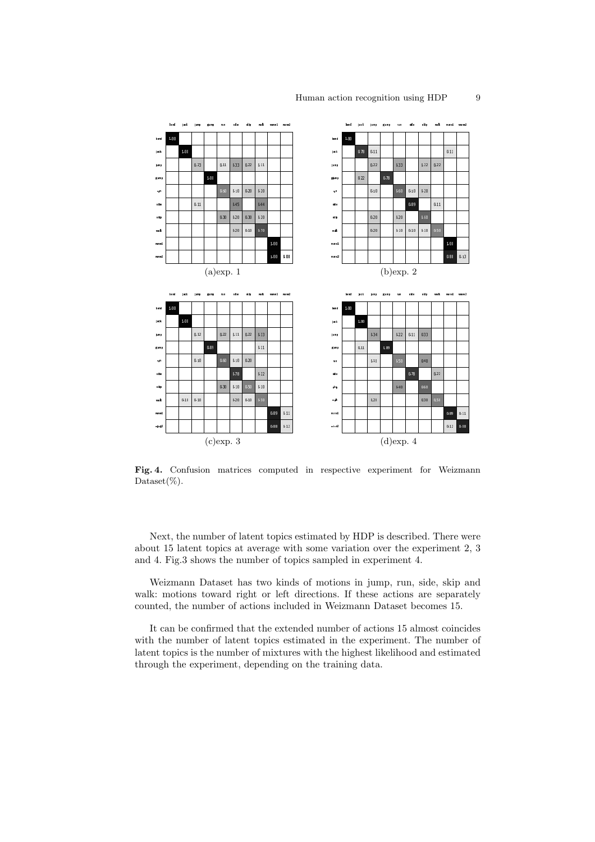

**Fig. 4.** Confusion matrices computed in respective experiment for Weizmann Dataset $(\%)$ .

Next, the number of latent topics estimated by HDP is described. There were about 15 latent topics at average with some variation over the experiment 2, 3 and 4. Fig.3 shows the number of topics sampled in experiment 4.

Weizmann Dataset has two kinds of motions in jump, run, side, skip and walk: motions toward right or left directions. If these actions are separately counted, the number of actions included in Weizmann Dataset becomes 15.

It can be confirmed that the extended number of actions 15 almost coincides with the number of latent topics estimated in the experiment. The number of latent topics is the number of mixtures with the highest likelihood and estimated through the experiment, depending on the training data.